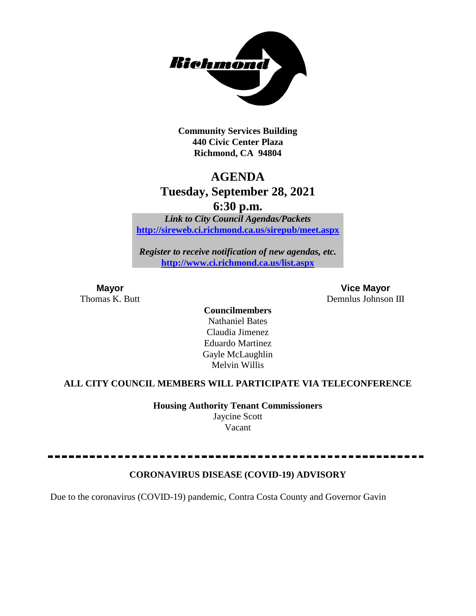

**Community Services Building 440 Civic Center Plaza Richmond, CA 94804**

# **AGENDA**

## **Tuesday, September 28, 2021**

**6:30 p.m.**

*Link to City Council Agendas/Packets* **<http://sireweb.ci.richmond.ca.us/sirepub/meet.aspx>**

*Register to receive notification of new agendas, etc.* **<http://www.ci.richmond.ca.us/list.aspx>**

**Mayor Vice Mayor** Thomas K. Butt Demnlus Johnson III

> **Councilmembers** Nathaniel Bates Claudia Jimenez Eduardo Martinez Gayle McLaughlin Melvin Willis

### **ALL CITY COUNCIL MEMBERS WILL PARTICIPATE VIA TELECONFERENCE**

**Housing Authority Tenant Commissioners** Jaycine Scott Vacant

### **CORONAVIRUS DISEASE (COVID-19) ADVISORY**

Due to the coronavirus (COVID-19) pandemic, Contra Costa County and Governor Gavin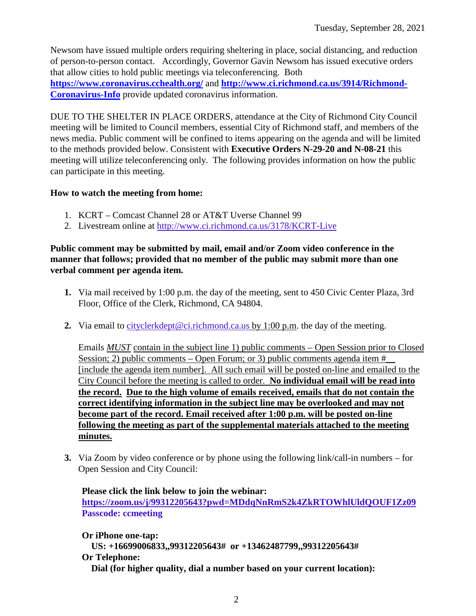Newsom have issued multiple orders requiring sheltering in place, social distancing, and reduction of person-to-person contact. Accordingly, Governor Gavin Newsom has issued executive orders that allow cities to hold public meetings via teleconferencing. Both **<https://www.coronavirus.cchealth.org/>** and **[http://www.ci.richmond.ca.us/3914/Richmond-](http://www.ci.richmond.ca.us/3914/Richmond-Coronavirus-Info)[Coronavirus-Info](http://www.ci.richmond.ca.us/3914/Richmond-Coronavirus-Info)** provide updated coronavirus information.

DUE TO THE SHELTER IN PLACE ORDERS, attendance at the City of Richmond City Council meeting will be limited to Council members, essential City of Richmond staff, and members of the news media. Public comment will be confined to items appearing on the agenda and will be limited to the methods provided below. Consistent with **Executive Orders N-29-20 and N-08-21** this meeting will utilize teleconferencing only. The following provides information on how the public can participate in this meeting.

### **How to watch the meeting from home:**

- 1. KCRT Comcast Channel 28 or AT&T Uverse Channel 99
- 2. Livestream online at<http://www.ci.richmond.ca.us/3178/KCRT-Live>

### **Public comment may be submitted by mail, email and/or Zoom video conference in the manner that follows; provided that no member of the public may submit more than one verbal comment per agenda item.**

- **1.** Via mail received by 1:00 p.m. the day of the meeting, sent to 450 Civic Center Plaza, 3rd Floor, Office of the Clerk, Richmond, CA 94804.
- **2.** Via email to [cityclerkdept@ci.richmond.ca.us](mailto:cityclerkdept@ci.richmond.ca.us) by 1:00 p.m. the day of the meeting.

Emails *MUST* contain in the subject line 1) public comments – Open Session prior to Closed Session; 2) public comments – Open Forum; or 3) public comments agenda item  $#$ [include the agenda item number]. All such email will be posted on-line and emailed to the City Council before the meeting is called to order. **No individual email will be read into the record. Due to the high volume of emails received, emails that do not contain the correct identifying information in the subject line may be overlooked and may not become part of the record. Email received after 1:00 p.m. will be posted on-line following the meeting as part of the supplemental materials attached to the meeting minutes.**

**3.** Via Zoom by video conference or by phone using the following link/call-in numbers – for Open Session and City Council:

**Please click the link below to join the webinar: <https://zoom.us/j/99312205643?pwd=MDdqNnRmS2k4ZkRTOWhlUldQOUF1Zz09> Passcode: ccmeeting**

**Or iPhone one-tap: US: +16699006833,,99312205643# or +13462487799,,99312205643# Or Telephone: Dial (for higher quality, dial a number based on your current location):**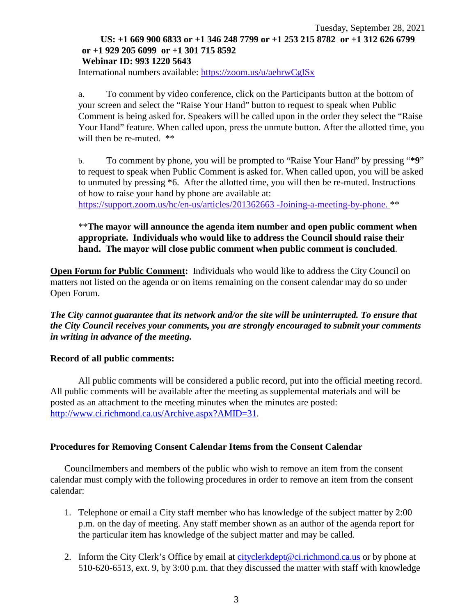### Tuesday, September 28, 2021 **US: +1 669 900 6833 or +1 346 248 7799 or +1 253 215 8782 or +1 312 626 6799 or +1 929 205 6099 or +1 301 715 8592 Webinar ID: 993 1220 5643**

International numbers available: <https://zoom.us/u/aehrwCgISx>

a. To comment by video conference, click on the Participants button at the bottom of your screen and select the "Raise Your Hand" button to request to speak when Public Comment is being asked for. Speakers will be called upon in the order they select the "Raise Your Hand" feature. When called upon, press the unmute button. After the allotted time, you will then be re-muted.  $**$ 

b. To comment by phone, you will be prompted to "Raise Your Hand" by pressing "**\*9**" to request to speak when Public Comment is asked for. When called upon, you will be asked to unmuted by pressing \*6. After the allotted time, you will then be re-muted. Instructions of how to raise your hand by phone are available at:

[https://support.zoom.us/hc/en-us/articles/201362663 -Joining-a-meeting-by-phone.](https://support.zoom.us/hc/en-us/articles/201362663) \*\*

### \*\***The mayor will announce the agenda item number and open public comment when appropriate. Individuals who would like to address the Council should raise their hand. The mayor will close public comment when public comment is concluded**.

**Open Forum for Public Comment:** Individuals who would like to address the City Council on matters not listed on the agenda or on items remaining on the consent calendar may do so under Open Forum.

*The City cannot guarantee that its network and/or the site will be uninterrupted. To ensure that the City Council receives your comments, you are strongly encouraged to submit your comments in writing in advance of the meeting.* 

### **Record of all public comments:**

All public comments will be considered a public record, put into the official meeting record. All public comments will be available after the meeting as supplemental materials and will be posted as an attachment to the meeting minutes when the minutes are posted: [http://www.ci.richmond.ca.us/Archive.aspx?AMID=31.](http://www.ci.richmond.ca.us/Archive.aspx?AMID=31)

### **Procedures for Removing Consent Calendar Items from the Consent Calendar**

Councilmembers and members of the public who wish to remove an item from the consent calendar must comply with the following procedures in order to remove an item from the consent calendar:

- 1. Telephone or email a City staff member who has knowledge of the subject matter by 2:00 p.m. on the day of meeting. Any staff member shown as an author of the agenda report for the particular item has knowledge of the subject matter and may be called.
- 2. Inform the City Clerk's Office by email at [cityclerkdept@ci.richmond.ca.us](mailto:cityclerkdept@ci.richmond.ca.us) or by phone at 510-620-6513, ext. 9, by 3:00 p.m. that they discussed the matter with staff with knowledge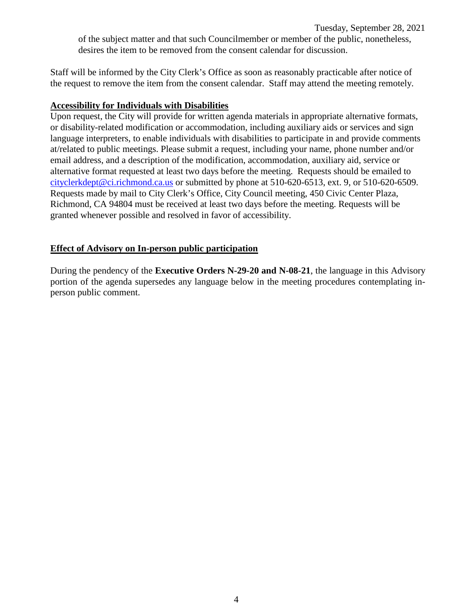Tuesday, September 28, 2021

of the subject matter and that such Councilmember or member of the public, nonetheless, desires the item to be removed from the consent calendar for discussion.

Staff will be informed by the City Clerk's Office as soon as reasonably practicable after notice of the request to remove the item from the consent calendar. Staff may attend the meeting remotely.

### **Accessibility for Individuals with Disabilities**

Upon request, the City will provide for written agenda materials in appropriate alternative formats, or disability-related modification or accommodation, including auxiliary aids or services and sign language interpreters, to enable individuals with disabilities to participate in and provide comments at/related to public meetings. Please submit a request, including your name, phone number and/or email address, and a description of the modification, accommodation, auxiliary aid, service or alternative format requested at least two days before the meeting. Requests should be emailed to [cityclerkdept@ci.richmond.ca.us](mailto:cityclerkdept@ci.richmond.ca.us) or submitted by phone at 510-620-6513, ext. 9, or 510-620-6509. Requests made by mail to City Clerk's Office, City Council meeting, 450 Civic Center Plaza, Richmond, CA 94804 must be received at least two days before the meeting. Requests will be granted whenever possible and resolved in favor of accessibility.

### **Effect of Advisory on In-person public participation**

During the pendency of the **Executive Orders N-29-20 and N-08-21**, the language in this Advisory portion of the agenda supersedes any language below in the meeting procedures contemplating inperson public comment.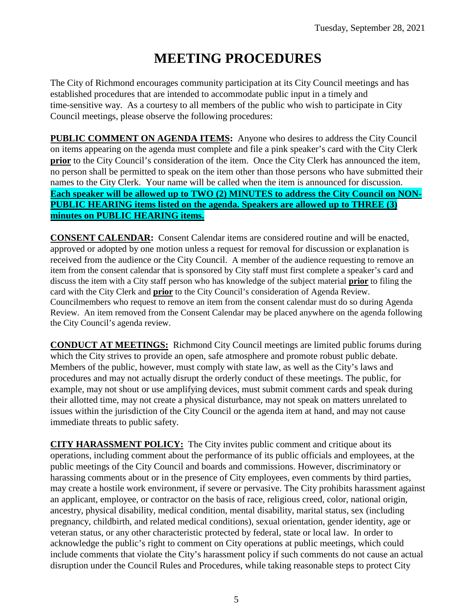# **MEETING PROCEDURES**

The City of Richmond encourages community participation at its City Council meetings and has established procedures that are intended to accommodate public input in a timely and time-sensitive way. As a courtesy to all members of the public who wish to participate in City Council meetings, please observe the following procedures:

**PUBLIC COMMENT ON AGENDA ITEMS:** Anyone who desires to address the City Council on items appearing on the agenda must complete and file a pink speaker's card with the City Clerk **prior** to the City Council's consideration of the item. Once the City Clerk has announced the item, no person shall be permitted to speak on the item other than those persons who have submitted their names to the City Clerk. Your name will be called when the item is announced for discussion. **Each speaker will be allowed up to TWO (2) MINUTES to address the City Council on NON-PUBLIC HEARING items listed on the agenda. Speakers are allowed up to THREE (3) minutes on PUBLIC HEARING items.**

**CONSENT CALENDAR:** Consent Calendar items are considered routine and will be enacted, approved or adopted by one motion unless a request for removal for discussion or explanation is received from the audience or the City Council. A member of the audience requesting to remove an item from the consent calendar that is sponsored by City staff must first complete a speaker's card and discuss the item with a City staff person who has knowledge of the subject material **prior** to filing the card with the City Clerk and **prior** to the City Council's consideration of Agenda Review. Councilmembers who request to remove an item from the consent calendar must do so during Agenda Review. An item removed from the Consent Calendar may be placed anywhere on the agenda following the City Council's agenda review.

**CONDUCT AT MEETINGS:** Richmond City Council meetings are limited public forums during which the City strives to provide an open, safe atmosphere and promote robust public debate. Members of the public, however, must comply with state law, as well as the City's laws and procedures and may not actually disrupt the orderly conduct of these meetings. The public, for example, may not shout or use amplifying devices, must submit comment cards and speak during their allotted time, may not create a physical disturbance, may not speak on matters unrelated to issues within the jurisdiction of the City Council or the agenda item at hand, and may not cause immediate threats to public safety.

**CITY HARASSMENT POLICY:** The City invites public comment and critique about its operations, including comment about the performance of its public officials and employees, at the public meetings of the City Council and boards and commissions. However, discriminatory or harassing comments about or in the presence of City employees, even comments by third parties, may create a hostile work environment, if severe or pervasive. The City prohibits harassment against an applicant, employee, or contractor on the basis of race, religious creed, color, national origin, ancestry, physical disability, medical condition, mental disability, marital status, sex (including pregnancy, childbirth, and related medical conditions), sexual orientation, gender identity, age or veteran status, or any other characteristic protected by federal, state or local law. In order to acknowledge the public's right to comment on City operations at public meetings, which could include comments that violate the City's harassment policy if such comments do not cause an actual disruption under the Council Rules and Procedures, while taking reasonable steps to protect City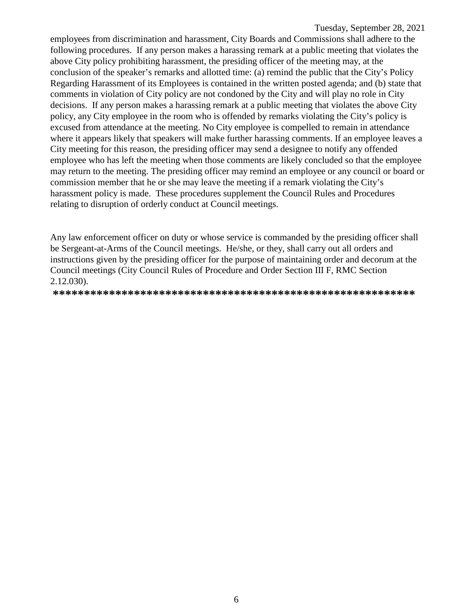employees from discrimination and harassment, City Boards and Commissions shall adhere to the following procedures. If any person makes a harassing remark at a public meeting that violates the above City policy prohibiting harassment, the presiding officer of the meeting may, at the conclusion of the speaker's remarks and allotted time: (a) remind the public that the City's Policy Regarding Harassment of its Employees is contained in the written posted agenda; and (b) state that comments in violation of City policy are not condoned by the City and will play no role in City decisions. If any person makes a harassing remark at a public meeting that violates the above City policy, any City employee in the room who is offended by remarks violating the City's policy is excused from attendance at the meeting. No City employee is compelled to remain in attendance where it appears likely that speakers will make further harassing comments. If an employee leaves a City meeting for this reason, the presiding officer may send a designee to notify any offended employee who has left the meeting when those comments are likely concluded so that the employee may return to the meeting. The presiding officer may remind an employee or any council or board or commission member that he or she may leave the meeting if a remark violating the City's harassment policy is made. These procedures supplement the Council Rules and Procedures relating to disruption of orderly conduct at Council meetings.

Any law enforcement officer on duty or whose service is commanded by the presiding officer shall be Sergeant-at-Arms of the Council meetings. He/she, or they, shall carry out all orders and instructions given by the presiding officer for the purpose of maintaining order and decorum at the Council meetings (City Council Rules of Procedure and Order Section III F, RMC Section 2.12.030).

**\*\*\*\*\*\*\*\*\*\*\*\*\*\*\*\*\*\*\*\*\*\*\*\*\*\*\*\*\*\*\*\*\*\*\*\*\*\*\*\*\*\*\*\*\*\*\*\*\*\*\*\*\*\*\*\*\*\***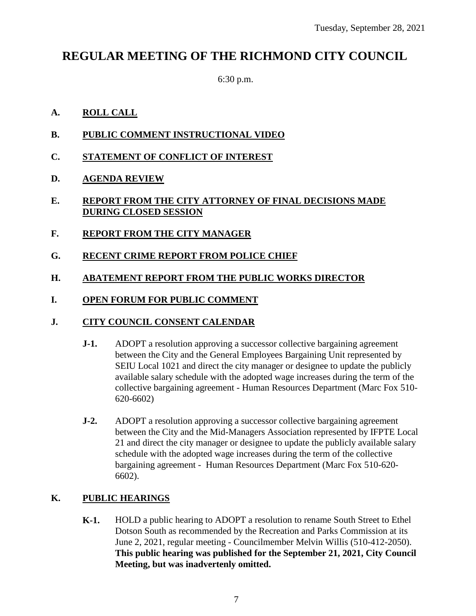# **REGULAR MEETING OF THE RICHMOND CITY COUNCIL**

6:30 p.m.

### **A. ROLL CALL**

- **B. PUBLIC COMMENT INSTRUCTIONAL VIDEO**
- **C. STATEMENT OF CONFLICT OF INTEREST**
- **D. AGENDA REVIEW**

### **E. REPORT FROM THE CITY ATTORNEY OF FINAL DECISIONS MADE DURING CLOSED SESSION**

- **F. REPORT FROM THE CITY MANAGER**
- **G. RECENT CRIME REPORT FROM POLICE CHIEF**

### **H. ABATEMENT REPORT FROM THE PUBLIC WORKS DIRECTOR**

### **I. OPEN FORUM FOR PUBLIC COMMENT**

### **J. CITY COUNCIL CONSENT CALENDAR**

- **J-1.** ADOPT a resolution approving a successor collective bargaining agreement between the City and the General Employees Bargaining Unit represented by SEIU Local 1021 and direct the city manager or designee to update the publicly available salary schedule with the adopted wage increases during the term of the collective bargaining agreement - Human Resources Department (Marc Fox 510- 620-6602)
- **J-2.** ADOPT a resolution approving a successor collective bargaining agreement between the City and the Mid-Managers Association represented by IFPTE Local 21 and direct the city manager or designee to update the publicly available salary schedule with the adopted wage increases during the term of the collective bargaining agreement - Human Resources Department (Marc Fox 510-620- 6602).

### **K. PUBLIC HEARINGS**

**K-1.** HOLD a public hearing to ADOPT a resolution to rename South Street to Ethel Dotson South as recommended by the Recreation and Parks Commission at its June 2, 2021, regular meeting - Councilmember Melvin Willis (510-412-2050). **This public hearing was published for the September 21, 2021, City Council Meeting, but was inadvertenly omitted.**